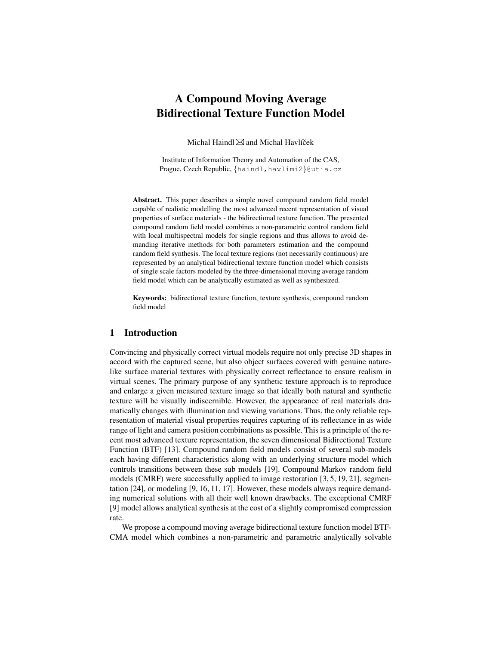# A Compound Moving Average Bidirectional Texture Function Model

Michal Haindl $\boxtimes$  and Michal Havlíček

Institute of Information Theory and Automation of the CAS, Prague, Czech Republic, {haindl, havlimi2}@utia.cz

Abstract. This paper describes a simple novel compound random field model capable of realistic modelling the most advanced recent representation of visual properties of surface materials - the bidirectional texture function. The presented compound random field model combines a non-parametric control random field with local multispectral models for single regions and thus allows to avoid demanding iterative methods for both parameters estimation and the compound random field synthesis. The local texture regions (not necessarily continuous) are represented by an analytical bidirectional texture function model which consists of single scale factors modeled by the three-dimensional moving average random field model which can be analytically estimated as well as synthesized.

Keywords: bidirectional texture function, texture synthesis, compound random field model

## 1 Introduction

Convincing and physically correct virtual models require not only precise 3D shapes in accord with the captured scene, but also object surfaces covered with genuine naturelike surface material textures with physically correct reflectance to ensure realism in virtual scenes. The primary purpose of any synthetic texture approach is to reproduce and enlarge a given measured texture image so that ideally both natural and synthetic texture will be visually indiscernible. However, the appearance of real materials dramatically changes with illumination and viewing variations. Thus, the only reliable representation of material visual properties requires capturing of its reflectance in as wide range of light and camera position combinations as possible. This is a principle of the recent most advanced texture representation, the seven dimensional Bidirectional Texture Function (BTF) [13]. Compound random field models consist of several sub-models each having different characteristics along with an underlying structure model which controls transitions between these sub models [19]. Compound Markov random field models (CMRF) were successfully applied to image restoration [3, 5, 19, 21], segmentation [24], or modeling [9, 16, 11, 17]. However, these models always require demanding numerical solutions with all their well known drawbacks. The exceptional CMRF [9] model allows analytical synthesis at the cost of a slightly compromised compression rate.

We propose a compound moving average bidirectional texture function model BTF-CMA model which combines a non-parametric and parametric analytically solvable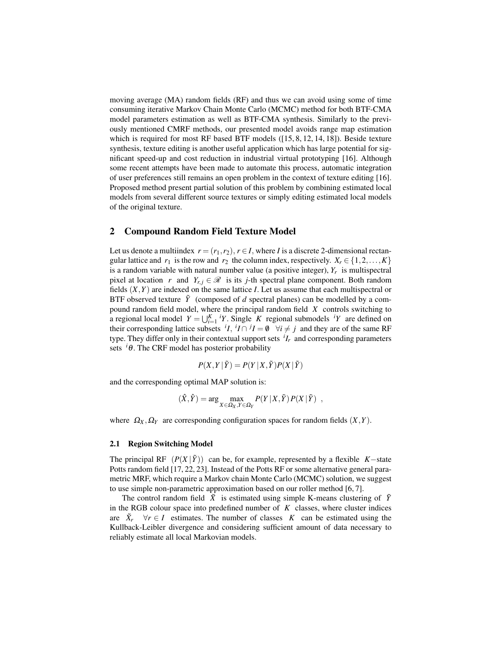moving average (MA) random fields (RF) and thus we can avoid using some of time consuming iterative Markov Chain Monte Carlo (MCMC) method for both BTF-CMA model parameters estimation as well as BTF-CMA synthesis. Similarly to the previously mentioned CMRF methods, our presented model avoids range map estimation which is required for most RF based BTF models ([15, 8, 12, 14, 18]). Beside texture synthesis, texture editing is another useful application which has large potential for significant speed-up and cost reduction in industrial virtual prototyping [16]. Although some recent attempts have been made to automate this process, automatic integration of user preferences still remains an open problem in the context of texture editing [16]. Proposed method present partial solution of this problem by combining estimated local models from several different source textures or simply editing estimated local models of the original texture.

#### 2 Compound Random Field Texture Model

Let us denote a multiindex  $r = (r_1, r_2), r \in I$ , where *I* is a discrete 2-dimensional rectangular lattice and  $r_1$  is the row and  $r_2$  the column index, respectively.  $X_r \in \{1, 2, ..., K\}$ is a random variable with natural number value (a positive integer), *Y<sup>r</sup>* is multispectral pixel at location *r* and  $Y_{r,j} \in \mathcal{R}$  is its *j*-th spectral plane component. Both random fields (*X*,*Y*) are indexed on the same lattice *I*. Let us assume that each multispectral or BTF observed texture  $\tilde{Y}$  (composed of *d* spectral planes) can be modelled by a compound random field model, where the principal random field *X* controls switching to a regional local model  $Y = \bigcup_{i=1}^{K} iY$ . Single *K* regional submodels *iY* are defined on their corresponding lattice subsets  ${}^{i}I, {}^{i}I \cap {}^{j}I = \emptyset$   $\forall i \neq j$  and they are of the same RF type. They differ only in their contextual support sets *<sup>i</sup> I<sup>r</sup>* and corresponding parameters sets  $^{i}\theta$ . The CRF model has posterior probability

$$
P(X,Y | \tilde{Y}) = P(Y | X, \tilde{Y}) P(X | \tilde{Y})
$$

and the corresponding optimal MAP solution is:

$$
(\hat{X}, \hat{Y}) = \arg\max_{X \in \Omega_X, Y \in \Omega_Y} P(Y | X, \tilde{Y}) P(X | \tilde{Y}) ,
$$

where  $\Omega_X, \Omega_Y$  are corresponding configuration spaces for random fields  $(X, Y)$ .

#### 2.1 Region Switching Model

The principal RF  $(P(X | \tilde{Y}))$  can be, for example, represented by a flexible *K* − state Potts random field [17, 22, 23]. Instead of the Potts RF or some alternative general parametric MRF, which require a Markov chain Monte Carlo (MCMC) solution, we suggest to use simple non-parametric approximation based on our roller method [6, 7].

The control random field  $\check{X}$  is estimated using simple K-means clustering of  $\check{Y}$ in the RGB colour space into predefined number of  $K$  classes, where cluster indices are  $\check{X}_r$   $\forall r \in I$  estimates. The number of classes *K* can be estimated using the Kullback-Leibler divergence and considering sufficient amount of data necessary to reliably estimate all local Markovian models.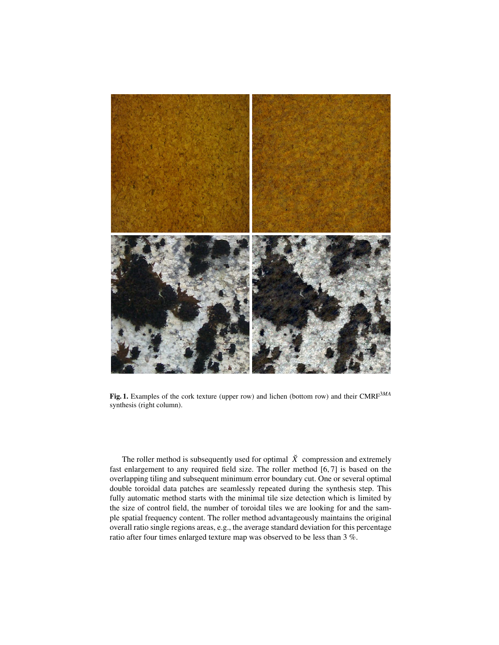

Fig. 1. Examples of the cork texture (upper row) and lichen (bottom row) and their CMRF3*MA* synthesis (right column).

The roller method is subsequently used for optimal  $\check{X}$  compression and extremely fast enlargement to any required field size. The roller method [6, 7] is based on the overlapping tiling and subsequent minimum error boundary cut. One or several optimal double toroidal data patches are seamlessly repeated during the synthesis step. This fully automatic method starts with the minimal tile size detection which is limited by the size of control field, the number of toroidal tiles we are looking for and the sample spatial frequency content. The roller method advantageously maintains the original overall ratio single regions areas, e.g., the average standard deviation for this percentage ratio after four times enlarged texture map was observed to be less than 3 %.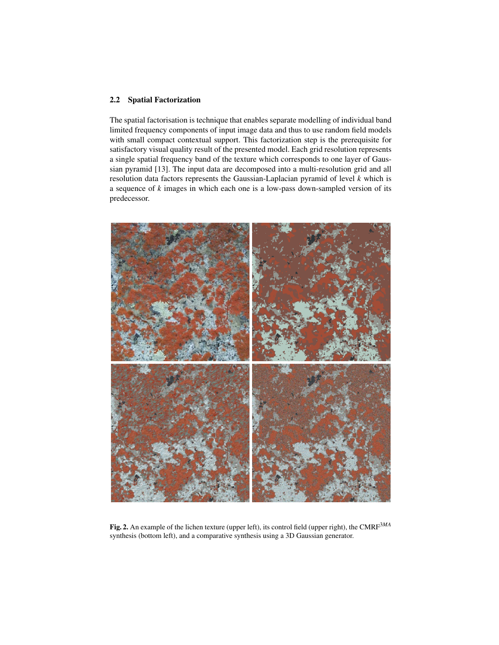### 2.2 Spatial Factorization

The spatial factorisation is technique that enables separate modelling of individual band limited frequency components of input image data and thus to use random field models with small compact contextual support. This factorization step is the prerequisite for satisfactory visual quality result of the presented model. Each grid resolution represents a single spatial frequency band of the texture which corresponds to one layer of Gaussian pyramid [13]. The input data are decomposed into a multi-resolution grid and all resolution data factors represents the Gaussian-Laplacian pyramid of level *k* which is a sequence of *k* images in which each one is a low-pass down-sampled version of its predecessor.



Fig. 2. An example of the lichen texture (upper left), its control field (upper right), the CMRF3*MA* synthesis (bottom left), and a comparative synthesis using a 3D Gaussian generator.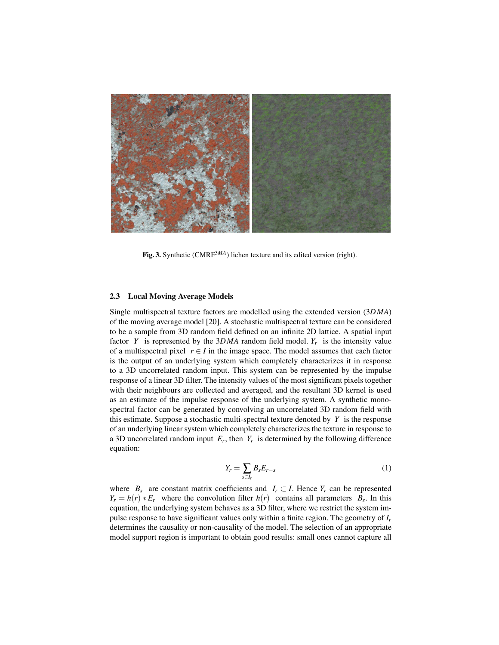

Fig. 3. Synthetic (CMRF<sup>3MA</sup>) lichen texture and its edited version (right).

#### 2.3 Local Moving Average Models

Single multispectral texture factors are modelled using the extended version (3*DMA*) of the moving average model [20]. A stochastic multispectral texture can be considered to be a sample from 3D random field defined on an infinite 2D lattice. A spatial input factor *Y* is represented by the  $3DMA$  random field model.  $Y_r$  is the intensity value of a multispectral pixel  $r \in I$  in the image space. The model assumes that each factor is the output of an underlying system which completely characterizes it in response to a 3D uncorrelated random input. This system can be represented by the impulse response of a linear 3D filter. The intensity values of the most significant pixels together with their neighbours are collected and averaged, and the resultant 3D kernel is used as an estimate of the impulse response of the underlying system. A synthetic monospectral factor can be generated by convolving an uncorrelated 3D random field with this estimate. Suppose a stochastic multi-spectral texture denoted by *Y* is the response of an underlying linear system which completely characterizes the texture in response to a 3D uncorrelated random input  $E_r$ , then  $Y_r$  is determined by the following difference equation:

$$
Y_r = \sum_{s \in I_r} B_s E_{r-s} \tag{1}
$$

where  $B_s$  are constant matrix coefficients and  $I_r \subset I$ . Hence  $Y_r$  can be represented  $Y_r = h(r) * E_r$  where the convolution filter  $h(r)$  contains all parameters  $B_s$ . In this equation, the underlying system behaves as a 3D filter, where we restrict the system impulse response to have significant values only within a finite region. The geometry of *I<sup>r</sup>* determines the causality or non-causality of the model. The selection of an appropriate model support region is important to obtain good results: small ones cannot capture all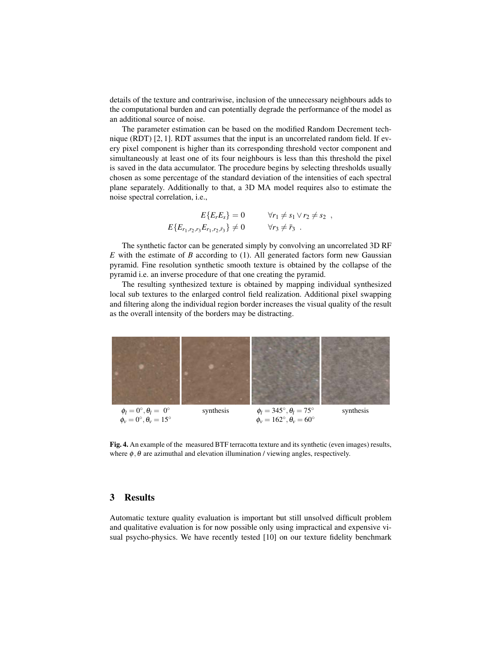details of the texture and contrariwise, inclusion of the unnecessary neighbours adds to the computational burden and can potentially degrade the performance of the model as an additional source of noise.

The parameter estimation can be based on the modified Random Decrement technique (RDT) [2, 1]. RDT assumes that the input is an uncorrelated random field. If every pixel component is higher than its corresponding threshold vector component and simultaneously at least one of its four neighbours is less than this threshold the pixel is saved in the data accumulator. The procedure begins by selecting thresholds usually chosen as some percentage of the standard deviation of the intensities of each spectral plane separately. Additionally to that, a 3D MA model requires also to estimate the noise spectral correlation, i.e.,

$$
E\{E_r E_s\} = 0 \qquad \forall r_1 \neq s_1 \lor r_2 \neq s_2 ,
$$
  

$$
E\{E_{r_1, r_2, r_3} E_{r_1, r_2, \bar{r}_3}\} \neq 0 \qquad \forall r_3 \neq \bar{r}_3 .
$$

The synthetic factor can be generated simply by convolving an uncorrelated 3D RF *E* with the estimate of *B* according to (1). All generated factors form new Gaussian pyramid. Fine resolution synthetic smooth texture is obtained by the collapse of the pyramid i.e. an inverse procedure of that one creating the pyramid.

The resulting synthesized texture is obtained by mapping individual synthesized local sub textures to the enlarged control field realization. Additional pixel swapping and filtering along the individual region border increases the visual quality of the result as the overall intensity of the borders may be distracting.



Fig. 4. An example of the measured BTF terracotta texture and its synthetic (even images) results, where  $\phi$ ,  $\theta$  are azimuthal and elevation illumination / viewing angles, respectively.

# 3 Results

Automatic texture quality evaluation is important but still unsolved difficult problem and qualitative evaluation is for now possible only using impractical and expensive visual psycho-physics. We have recently tested [10] on our texture fidelity benchmark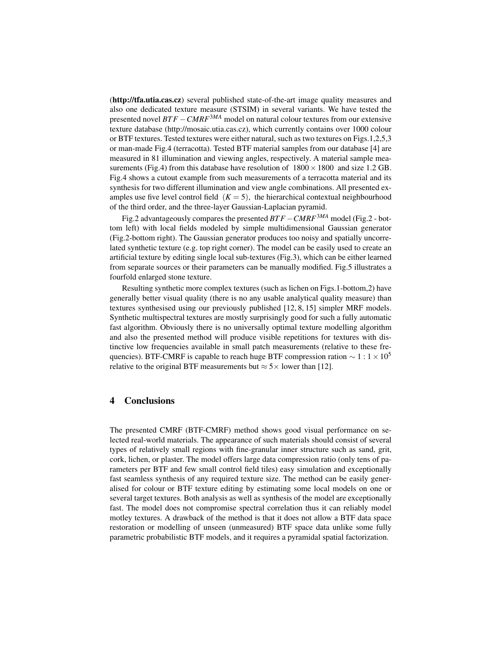(http://tfa.utia.cas.cz) several published state-of-the-art image quality measures and also one dedicated texture measure (STSIM) in several variants. We have tested the presented novel *BT F* −*CMRF*3*MA* model on natural colour textures from our extensive texture database (http://mosaic.utia.cas.cz), which currently contains over 1000 colour or BTF textures. Tested textures were either natural, such as two textures on Figs.1,2,5,3 or man-made Fig.4 (terracotta). Tested BTF material samples from our database [4] are measured in 81 illumination and viewing angles, respectively. A material sample measurements (Fig.4) from this database have resolution of  $1800 \times 1800$  and size 1.2 GB. Fig.4 shows a cutout example from such measurements of a terracotta material and its synthesis for two different illumination and view angle combinations. All presented examples use five level control field  $(K = 5)$ , the hierarchical contextual neighbourhood of the third order, and the three-layer Gaussian-Laplacian pyramid.

Fig.2 advantageously compares the presented *BT F* −*CMRF*3*MA* model (Fig.2 - bottom left) with local fields modeled by simple multidimensional Gaussian generator (Fig.2-bottom right). The Gaussian generator produces too noisy and spatially uncorrelated synthetic texture (e.g. top right corner). The model can be easily used to create an artificial texture by editing single local sub-textures (Fig.3), which can be either learned from separate sources or their parameters can be manually modified. Fig.5 illustrates a fourfold enlarged stone texture.

Resulting synthetic more complex textures (such as lichen on Figs.1-bottom,2) have generally better visual quality (there is no any usable analytical quality measure) than textures synthesised using our previously published [12, 8, 15] simpler MRF models. Synthetic multispectral textures are mostly surprisingly good for such a fully automatic fast algorithm. Obviously there is no universally optimal texture modelling algorithm and also the presented method will produce visible repetitions for textures with distinctive low frequencies available in small patch measurements (relative to these frequencies). BTF-CMRF is capable to reach huge BTF compression ration  $\sim 1$  : 1 × 10<sup>5</sup> relative to the original BTF measurements but  $\approx$  5 $\times$  lower than [12].

# 4 Conclusions

The presented CMRF (BTF-CMRF) method shows good visual performance on selected real-world materials. The appearance of such materials should consist of several types of relatively small regions with fine-granular inner structure such as sand, grit, cork, lichen, or plaster. The model offers large data compression ratio (only tens of parameters per BTF and few small control field tiles) easy simulation and exceptionally fast seamless synthesis of any required texture size. The method can be easily generalised for colour or BTF texture editing by estimating some local models on one or several target textures. Both analysis as well as synthesis of the model are exceptionally fast. The model does not compromise spectral correlation thus it can reliably model motley textures. A drawback of the method is that it does not allow a BTF data space restoration or modelling of unseen (unmeasured) BTF space data unlike some fully parametric probabilistic BTF models, and it requires a pyramidal spatial factorization.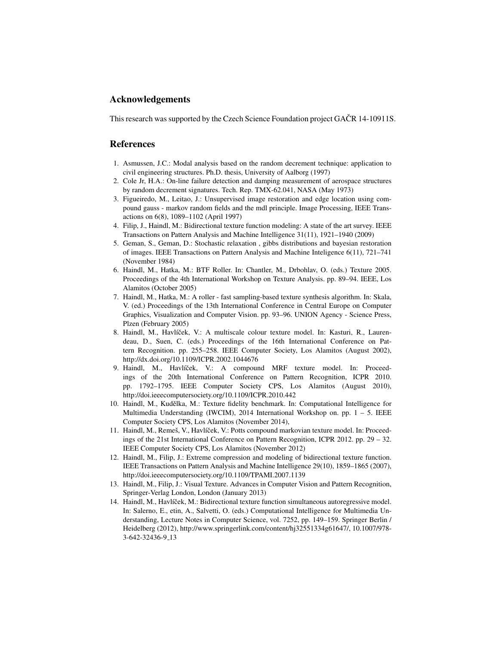# Acknowledgements

This research was supported by the Czech Science Foundation project GACR 14-10911S.

## References

- 1. Asmussen, J.C.: Modal analysis based on the random decrement technique: application to civil engineering structures. Ph.D. thesis, University of Aalborg (1997)
- 2. Cole Jr, H.A.: On-line failure detection and damping measurement of aerospace structures by random decrement signatures. Tech. Rep. TMX-62.041, NASA (May 1973)
- 3. Figueiredo, M., Leitao, J.: Unsupervised image restoration and edge location using compound gauss - markov random fields and the mdl principle. Image Processing, IEEE Transactions on 6(8), 1089–1102 (April 1997)
- 4. Filip, J., Haindl, M.: Bidirectional texture function modeling: A state of the art survey. IEEE Transactions on Pattern Analysis and Machine Intelligence 31(11), 1921–1940 (2009)
- 5. Geman, S., Geman, D.: Stochastic relaxation , gibbs distributions and bayesian restoration of images. IEEE Transactions on Pattern Analysis and Machine Inteligence 6(11), 721–741 (November 1984)
- 6. Haindl, M., Hatka, M.: BTF Roller. In: Chantler, M., Drbohlav, O. (eds.) Texture 2005. Proceedings of the 4th International Workshop on Texture Analysis. pp. 89–94. IEEE, Los Alamitos (October 2005)
- 7. Haindl, M., Hatka, M.: A roller fast sampling-based texture synthesis algorithm. In: Skala, V. (ed.) Proceedings of the 13th International Conference in Central Europe on Computer Graphics, Visualization and Computer Vision. pp. 93–96. UNION Agency - Science Press, Plzen (February 2005)
- 8. Haindl, M., Havlíček, V.: A multiscale colour texture model. In: Kasturi, R., Laurendeau, D., Suen, C. (eds.) Proceedings of the 16th International Conference on Pattern Recognition. pp. 255–258. IEEE Computer Society, Los Alamitos (August 2002), http://dx.doi.org/10.1109/ICPR.2002.1044676
- 9. Haindl, M., Havlíček, V.: A compound MRF texture model. In: Proceedings of the 20th International Conference on Pattern Recognition, ICPR 2010. pp. 1792–1795. IEEE Computer Society CPS, Los Alamitos (August 2010), http://doi.ieeecomputersociety.org/10.1109/ICPR.2010.442
- 10. Haindl, M., Kudělka, M.: Texture fidelity benchmark. In: Computational Intelligence for Multimedia Understanding (IWCIM), 2014 International Workshop on. pp. 1 – 5. IEEE Computer Society CPS, Los Alamitos (November 2014),
- 11. Haindl, M., Remeš, V., Havlíček, V.: Potts compound markovian texture model. In: Proceedings of the 21st International Conference on Pattern Recognition, ICPR 2012. pp. 29 – 32. IEEE Computer Society CPS, Los Alamitos (November 2012)
- 12. Haindl, M., Filip, J.: Extreme compression and modeling of bidirectional texture function. IEEE Transactions on Pattern Analysis and Machine Intelligence 29(10), 1859–1865 (2007), http://doi.ieeecomputersociety.org/10.1109/TPAMI.2007.1139
- 13. Haindl, M., Filip, J.: Visual Texture. Advances in Computer Vision and Pattern Recognition, Springer-Verlag London, London (January 2013)
- 14. Haindl, M., Havlíček, M.: Bidirectional texture function simultaneous autoregressive model. In: Salerno, E., etin, A., Salvetti, O. (eds.) Computational Intelligence for Multimedia Understanding, Lecture Notes in Computer Science, vol. 7252, pp. 149–159. Springer Berlin / Heidelberg (2012), http://www.springerlink.com/content/hj32551334g61647/, 10.1007/978- 3-642-32436-9 13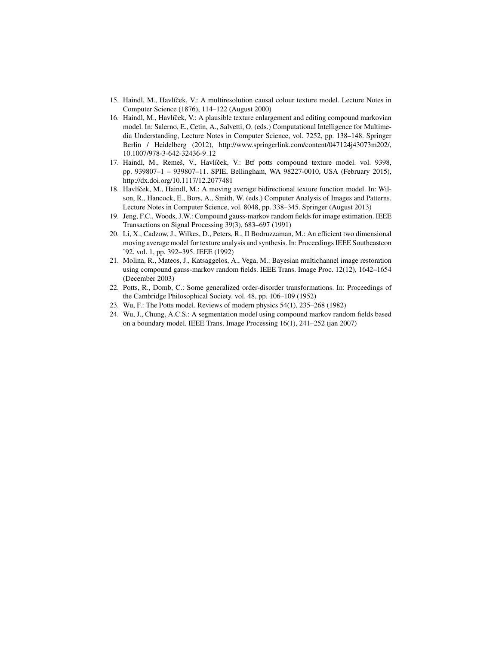- 15. Haindl, M., Havlíček, V.: A multiresolution causal colour texture model. Lecture Notes in Computer Science (1876), 114–122 (August 2000)
- 16. Haindl, M., Havlíček, V.: A plausible texture enlargement and editing compound markovian model. In: Salerno, E., Cetin, A., Salvetti, O. (eds.) Computational Intelligence for Multimedia Understanding, Lecture Notes in Computer Science, vol. 7252, pp. 138–148. Springer Berlin / Heidelberg (2012), http://www.springerlink.com/content/047124j43073m202/, 10.1007/978-3-642-32436-9 12
- 17. Haindl, M., Remeš, V., Havlíček, V.: Btf potts compound texture model. vol. 9398, pp. 939807–1 – 939807–11. SPIE, Bellingham, WA 98227-0010, USA (February 2015), http://dx.doi.org/10.1117/12.2077481
- 18. Havlíček, M., Haindl, M.: A moving average bidirectional texture function model. In: Wilson, R., Hancock, E., Bors, A., Smith, W. (eds.) Computer Analysis of Images and Patterns. Lecture Notes in Computer Science, vol. 8048, pp. 338–345. Springer (August 2013)
- 19. Jeng, F.C., Woods, J.W.: Compound gauss-markov random fields for image estimation. IEEE Transactions on Signal Processing 39(3), 683–697 (1991)
- 20. Li, X., Cadzow, J., Wilkes, D., Peters, R., II Bodruzzaman, M.: An efficient two dimensional moving average model for texture analysis and synthesis. In: Proceedings IEEE Southeastcon '92. vol. 1, pp. 392–395. IEEE (1992)
- 21. Molina, R., Mateos, J., Katsaggelos, A., Vega, M.: Bayesian multichannel image restoration using compound gauss-markov random fields. IEEE Trans. Image Proc. 12(12), 1642–1654 (December 2003)
- 22. Potts, R., Domb, C.: Some generalized order-disorder transformations. In: Proceedings of the Cambridge Philosophical Society. vol. 48, pp. 106–109 (1952)
- 23. Wu, F.: The Potts model. Reviews of modern physics 54(1), 235–268 (1982)
- 24. Wu, J., Chung, A.C.S.: A segmentation model using compound markov random fields based on a boundary model. IEEE Trans. Image Processing 16(1), 241–252 (jan 2007)